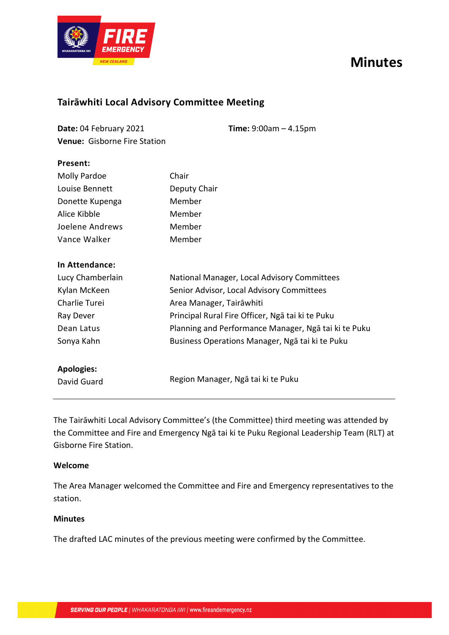# **Minutes**



### **Tairāwhiti Local Advisory Committee Meeting**

| Date: 04 February 2021              | <b>Time:</b> $9:00am - 4.15pm$ |
|-------------------------------------|--------------------------------|
| <b>Venue: Gisborne Fire Station</b> |                                |

| Present:            |                                                      |  |
|---------------------|------------------------------------------------------|--|
| <b>Molly Pardoe</b> | Chair                                                |  |
| Louise Bennett      | Deputy Chair                                         |  |
| Donette Kupenga     | Member                                               |  |
| Alice Kibble        | Member                                               |  |
| Joelene Andrews     | Member                                               |  |
| Vance Walker        | Member                                               |  |
| In Attendance:      |                                                      |  |
| Lucy Chamberlain    | National Manager, Local Advisory Committees          |  |
| Kylan McKeen        | Senior Advisor, Local Advisory Committees            |  |
| Charlie Turei       | Area Manager, Tairāwhiti                             |  |
| Ray Dever           | Principal Rural Fire Officer, Ngā tai ki te Puku     |  |
| Dean Latus          | Planning and Performance Manager, Nga tai ki te Puku |  |
| Sonya Kahn          | Business Operations Manager, Ngā tai ki te Puku      |  |
| <b>Apologies:</b>   |                                                      |  |
| David Guard         | Region Manager, Ngā tai ki te Puku                   |  |

The Tairāwhiti Local Advisory Committee's (the Committee) third meeting was attended by the Committee and Fire and Emergency Ngā tai ki te Puku Regional Leadership Team (RLT) at Gisborne Fire Station.

### **Welcome**

The Area Manager welcomed the Committee and Fire and Emergency representatives to the station.

### **Minutes**

The drafted LAC minutes of the previous meeting were confirmed by the Committee.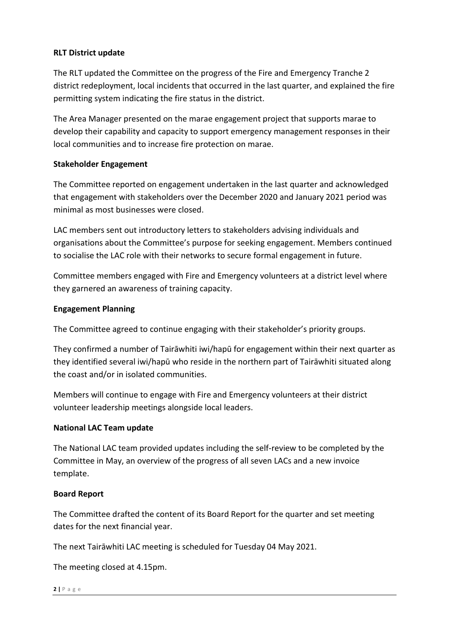### **RLT District update**

The RLT updated the Committee on the progress of the Fire and Emergency Tranche 2 district redeployment, local incidents that occurred in the last quarter, and explained the fire permitting system indicating the fire status in the district.

The Area Manager presented on the marae engagement project that supports marae to develop their capability and capacity to support emergency management responses in their local communities and to increase fire protection on marae.

### **Stakeholder Engagement**

The Committee reported on engagement undertaken in the last quarter and acknowledged that engagement with stakeholders over the December 2020 and January 2021 period was minimal as most businesses were closed.

LAC members sent out introductory letters to stakeholders advising individuals and organisations about the Committee's purpose for seeking engagement. Members continued to socialise the LAC role with their networks to secure formal engagement in future.

Committee members engaged with Fire and Emergency volunteers at a district level where they garnered an awareness of training capacity.

### **Engagement Planning**

The Committee agreed to continue engaging with their stakeholder's priority groups.

They confirmed a number of Tairāwhiti iwi/hapū for engagement within their next quarter as they identified several iwi/hapū who reside in the northern part of Tairāwhiti situated along the coast and/or in isolated communities.

Members will continue to engage with Fire and Emergency volunteers at their district volunteer leadership meetings alongside local leaders.

### **National LAC Team update**

The National LAC team provided updates including the self-review to be completed by the Committee in May, an overview of the progress of all seven LACs and a new invoice template.

### **Board Report**

The Committee drafted the content of its Board Report for the quarter and set meeting dates for the next financial year.

The next Tairāwhiti LAC meeting is scheduled for Tuesday 04 May 2021.

The meeting closed at 4.15pm.